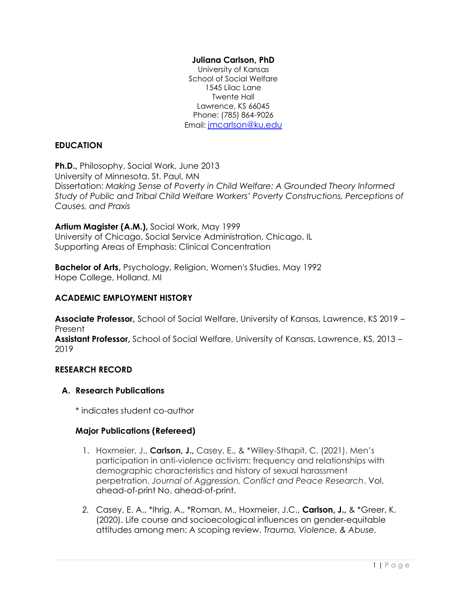# **Juliana Carlson, PhD**

University of Kansas School of Social Welfare 1545 Lilac Lane Twente Hall Lawrence, KS 66045 Phone: (785) 864-9026 Email: [jmcarlson@ku.edu](mailto:jmcarlson@ku.edu)

# **EDUCATION**

**Ph.D.,** Philosophy, Social Work, June 2013 University of Minnesota, St. Paul, MN Dissertation: *Making Sense of Poverty in Child Welfare: A Grounded Theory Informed Study of Public and Tribal Child Welfare Workers' Poverty Constructions, Perceptions of Causes, and Praxis* 

**Artium Magister (A.M.),** Social Work, May 1999 University of Chicago, Social Service Administration, Chicago, IL Supporting Areas of Emphasis: Clinical Concentration

**Bachelor of Arts,** Psychology, Religion, Women's Studies, May 1992 Hope College, Holland, MI

# **ACADEMIC EMPLOYMENT HISTORY**

**Associate Professor,** School of Social Welfare, University of Kansas, Lawrence, KS 2019 – Present

**Assistant Professor,** School of Social Welfare, University of Kansas, Lawrence, KS, 2013 – 2019

# **RESEARCH RECORD**

# **A. Research Publications**

\* indicates student co-author

# **Major Publications (Refereed)**

- 1. Hoxmeier, J., **Carlson, J.,** Casey, E., & \*Willey-Sthapit, C. (2021). Men's participation in anti-violence activism: frequency and relationships with demographic characteristics and history of sexual harassment perpetration. *Journal of Aggression, Conflict and Peace Research*. Vol. ahead-of-print No. ahead-of-print.
- *2.* Casey, E. A., \*Ihrig, A., \*Roman, M., Hoxmeier, J.C., **Carlson, J.,** & \*Greer, K. (2020). Life course and socioecological influences on gender-equitable attitudes among men: A scoping review. *Trauma, Violence, & Abuse.*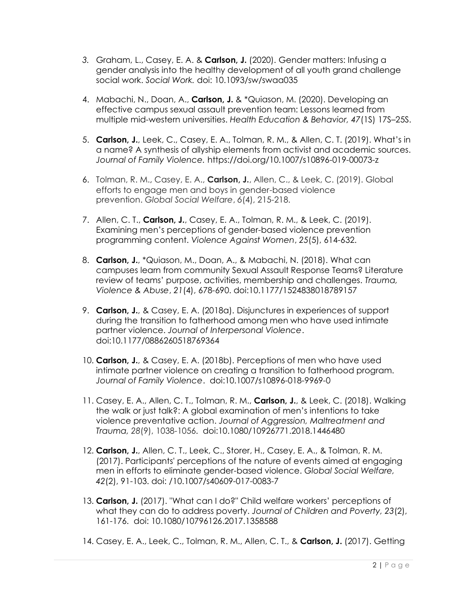- *3.* Graham, L., Casey, E. A. & **Carlson, J.** (2020). Gender matters: Infusing a gender analysis into the healthy development of all youth grand challenge social work. *Social Work.* doi: 10.1093/sw/swaa035
- 4. Mabachi, N., Doan, A., **Carlson, J.** & \*Quiason, M. (2020). Developing an effective campus sexual assault prevention team: Lessons learned from multiple mid-western universities. *Health Education & Behavior, 47*(1S) 17S–25S.
- 5. **Carlson, J.**, Leek, C., Casey, E. A., Tolman, R. M., & Allen, C. T. (2019). What's in a name? A synthesis of allyship elements from activist and academic sources. *Journal of Family Violence.* https://doi.org/10.1007/s10896-019-00073-z
- 6. Tolman, R. M., Casey, E. A., **Carlson, J.**, Allen, C., & Leek, C. (2019). Global efforts to engage men and boys in gender-based violence prevention. *Global Social Welfare*, *6*(4), 215-218.
- 7. Allen, C. T., **Carlson, J.**, Casey, E. A., Tolman, R. M., & Leek, C. (2019). Examining men's perceptions of gender-based violence prevention programming content. *Violence Against Women*, *25*(5), 614-632.
- 8. **Carlson, J.**, \*Quiason, M., Doan, A., & Mabachi, N. (2018). What can campuses learn from community Sexual Assault Response Teams? Literature review of teams' purpose, activities, membership and challenges. *Trauma, Violence & Abuse*, *21*(4), 678-690. doi:10.1177/1524838018789157
- 9. **Carlson, J.**, & Casey, E. A. (2018a). Disjunctures in experiences of support during the transition to fatherhood among men who have used intimate partner violence. *Journal of Interpersonal Violence*. doi:10.1177/0886260518769364
- 10. **Carlson, J.**, & Casey, E. A. (2018b). Perceptions of men who have used intimate partner violence on creating a transition to fatherhood program. *Journal of Family Violence*. doi:10.1007/s10896-018-9969-0
- 11. Casey, E. A., Allen, C. T., Tolman, R. M., **Carlson, J.**, & Leek, C. (2018). Walking the walk or just talk?: A global examination of men's intentions to take violence preventative action. *Journal of Aggression, Maltreatment and Trauma, 28*(9), 1038-1056. doi:10.1080/10926771.2018.1446480
- 12. **Carlson, J.**, Allen, C. T., Leek, C., Storer, H., Casey, E. A., & Tolman, R. M. (2017). Participants' perceptions of the nature of events aimed at engaging men in efforts to eliminate gender-based violence. *Global Social Welfare, 42*(2), 91-103. doi: /10.1007/s40609-017-0083-7
- 13. **Carlson, J.** (2017). "What can I do?" Child welfare workers' perceptions of what they can do to address poverty. *Journal of Children and Poverty, 23*(2), 161-176. doi: 10.1080/10796126.2017.1358588
- 14. Casey, E. A., Leek, C., Tolman, R. M., Allen, C. T., & **Carlson, J.** (2017). Getting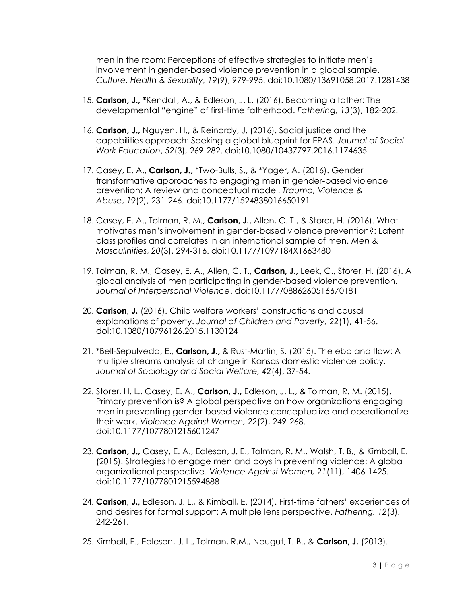men in the room: Perceptions of effective strategies to initiate men's involvement in gender-based violence prevention in a global sample. *Culture, Health & Sexuality, 19*(9), 979-995. doi:10.1080/13691058.2017.1281438

- 15. **Carlson, J., \***Kendall, A., & Edleson, J. L. (2016). Becoming a father: The developmental "engine" of first-time fatherhood. *Fathering, 13*(3), 182-202.
- 16. **Carlson, J.,** Nguyen, H., & Reinardy, J. (2016). Social justice and the capabilities approach: Seeking a global blueprint for EPAS. *Journal of Social Work Education*, *52*(3), 269-282. doi:10.1080/10437797.2016.1174635
- 17. Casey, E. A., **Carlson, J.,** \*Two-Bulls, S., & \*Yager, A. (2016). Gender transformative approaches to engaging men in gender-based violence prevention: A review and conceptual model. *Trauma, Violence & Abuse*, *19*(2), 231-246. doi:10.1177/1524838016650191
- 18. Casey, E. A., Tolman, R. M., **Carlson, J.,** Allen, C. T., & Storer, H. (2016). What motivates men's involvement in gender-based violence prevention?: Latent class profiles and correlates in an international sample of men. *Men & Masculinities*, *20*(3), 294-316. doi:10.1177/1097184X1663480
- 19. Tolman, R. M., Casey, E. A., Allen, C. T., **Carlson, J.,** Leek, C., Storer, H. (2016). A global analysis of men participating in gender-based violence prevention. *Journal of Interpersonal Violence*. doi:10.1177/0886260516670181
- 20. **Carlson, J.** (2016). Child welfare workers' constructions and causal explanations of poverty. *Journal of Children and Poverty, 22*(1), 41-56. doi:10.1080/10796126.2015.1130124
- 21. \*Bell-Sepulveda, E., **Carlson, J.,** & Rust-Martin, S. (2015). The ebb and flow: A multiple streams analysis of change in Kansas domestic violence policy. *Journal of Sociology and Social Welfare, 42*(4), 37-54.
- 22. Storer, H. L., Casey, E. A., **Carlson, J.,** Edleson, J. L., & Tolman, R. M. (2015). Primary prevention is? A global perspective on how organizations engaging men in preventing gender-based violence conceptualize and operationalize their work. *Violence Against Women, 22*(2), 249-268. doi:10.1177/1077801215601247
- 23. **Carlson, J.,** Casey, E. A., Edleson, J. E., Tolman, R. M., Walsh, T. B., & Kimball, E. (2015). Strategies to engage men and boys in preventing violence: A global organizational perspective. *Violence Against Women, 21*(11), 1406-1425. doi:10.1177/1077801215594888
- 24. **Carlson, J.,** Edleson, J. L., & Kimball, E. (2014). First-time fathers' experiences of and desires for formal support: A multiple lens perspective. *Fathering, 12*(3), 242-261.
- 25. Kimball, E., Edleson, J. L., Tolman, R.M., Neugut, T. B., & **Carlson, J.** (2013).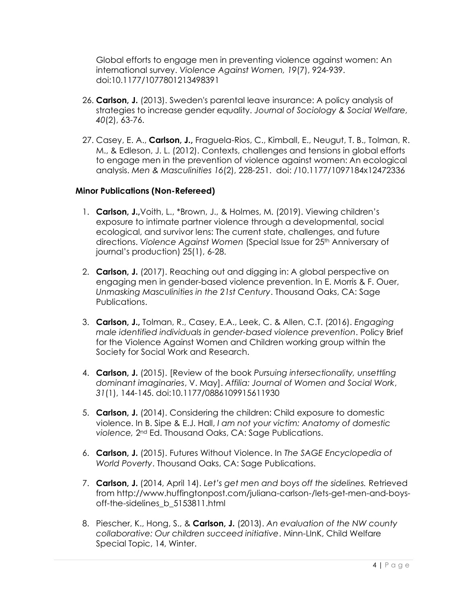Global efforts to engage men in preventing violence against women: An international survey. *Violence Against Women, 19*(7), 924-939. doi:10.1177/1077801213498391

- 26. **Carlson, J.** (2013). Sweden's parental leave insurance: A policy analysis of strategies to increase gender equality. *Journal of Sociology & Social Welfare, 40*(2), 63-76.
- 27. Casey, E. A., **Carlson, J.,** Fraguela-Rios, C., Kimball, E., Neugut, T. B., Tolman, R. M., & Edleson, J. L. (2012). Contexts, challenges and tensions in global efforts to engage men in the prevention of violence against women: An ecological analysis. *Men & Masculinities 16*(2), 228-251. doi: /10.1177/1097184x12472336

# **Minor Publications (Non-Refereed)**

- 1. **Carlson, J.,**Voith, L., \*Brown, J., & Holmes, M. (2019). Viewing children's exposure to intimate partner violence through a developmental, social ecological, and survivor lens: The current state, challenges, and future directions. *Violence Against Women* (Special Issue for 25<sup>th</sup> Anniversary of journal's production) 25(1), 6-28.
- 2. **Carlson, J.** (2017). Reaching out and digging in: A global perspective on engaging men in gender-based violence prevention. In E. Morris & F. Ouer, *Unmasking Masculinities in the 21st Century*. Thousand Oaks, CA: Sage Publications.
- 3. **Carlson, J.,** Tolman, R., Casey, E.A., Leek, C. & Allen, C.T. (2016). *Engaging male identified individuals in gender-based violence prevention*. Policy Brief for the Violence Against Women and Children working group within the Society for Social Work and Research.
- 4. **Carlson, J.** (2015). [Review of the book *Pursuing intersectionality, unsettling dominant imaginaries*, V. May]. *Affilia: Journal of Women and Social Work*, *31*(1), 144-145. doi:10.1177/0886109915611930
- 5. **Carlson, J.** (2014). Considering the children: Child exposure to domestic violence. In B. Sipe & E.J. Hall, *I am not your victim: Anatomy of domestic violence,* 2nd Ed. Thousand Oaks, CA: Sage Publications.
- 6. **Carlson, J.** (2015). Futures Without Violence. In *The SAGE Encyclopedia of World Poverty*. Thousand Oaks, CA: Sage Publications.
- 7. **Carlson, J.** (2014, April 14). *Let's get men and boys off the sidelines.* Retrieved from http://www.huffingtonpost.com/juliana-carlson-/lets-get-men-and-boysoff-the-sidelines\_b\_5153811.html
- 8. Piescher, K., Hong, S., & **Carlson, J.** (2013). *An evaluation of the NW county collaborative: Our children succeed initiative*. Minn-LInK, Child Welfare Special Topic, 14, Winter.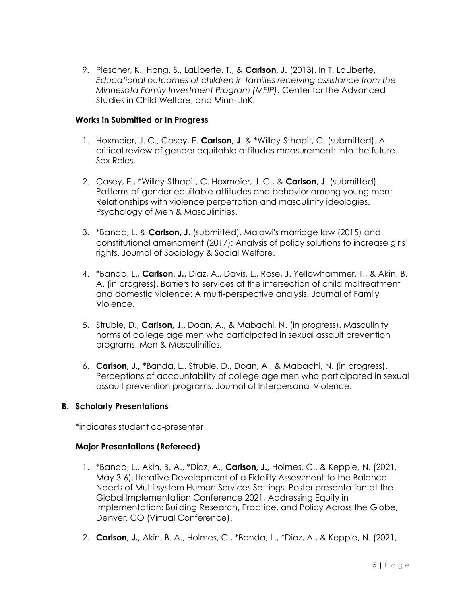9. Piescher, K., Hong, S., LaLiberte, T., & **Carlson, J.** (2013). In T. LaLiberte, *Educational outcomes of children in families receiving assistance from the Minnesota Family Investment Program (MFIP)*. Center for the Advanced Studies in Child Welfare, and Minn-LInK.

# **Works in Submitted or In Progress**

- 1. Hoxmeier, J. C., Casey, E. **Carlson, J**. & \*Willey-Sthapit, C. (submitted). A critical review of gender equitable attitudes measurement: Into the future. Sex Roles.
- 2. Casey, E., \*Willey-Sthapit, C. Hoxmeier, J. C., & **Carlson, J**. (submitted). Patterns of gender equitable attitudes and behavior among young men: Relationships with violence perpetration and masculinity ideologies. Psychology of Men & Masculinities.
- 3. \*Banda, L. & **Carlson, J**. (submitted). Malawi's marriage law (2015) and constitutional amendment (2017): Analysis of policy solutions to increase girls' rights. Journal of Sociology & Social Welfare.
- 4. \*Banda, L., **Carlson, J.,** Diaz, A., Davis, L., Rose, J. Yellowhammer, T., & Akin, B. A. (in progress). Barriers to services at the intersection of child maltreatment and domestic violence: A multi-perspective analysis. Journal of Family Violence.
- 5. Struble, D., **Carlson, J.,** Doan, A., & Mabachi, N. (in progress). Masculinity norms of college age men who participated in sexual assault prevention programs. Men & Masculinities.
- 6. **Carlson, J.,** \*Banda, L., Struble, D., Doan, A., & Mabachi, N. (in progress). Perceptions of accountability of college age men who participated in sexual assault prevention programs. Journal of Interpersonal Violence.

# **B. Scholarly Presentations**

\*indicates student co-presenter

# **Major Presentations (Refereed)**

- 1. \*Banda, L., Akin, B. A., \*Diaz, A., **Carlson, J.,** Holmes, C., & Kepple, N. (2021, May 3-6). Iterative Development of a Fidelity Assessment to the Balance Needs of Multi-system Human Services Settings. Poster presentation at the Global Implementation Conference 2021, Addressing Equity in Implementation: Building Research, Practice, and Policy Across the Globe, Denver, CO (Virtual Conference).
- 2. **Carlson, J.,** Akin, B. A., Holmes, C., \*Banda, L., \*Diaz, A., & Kepple, N. (2021,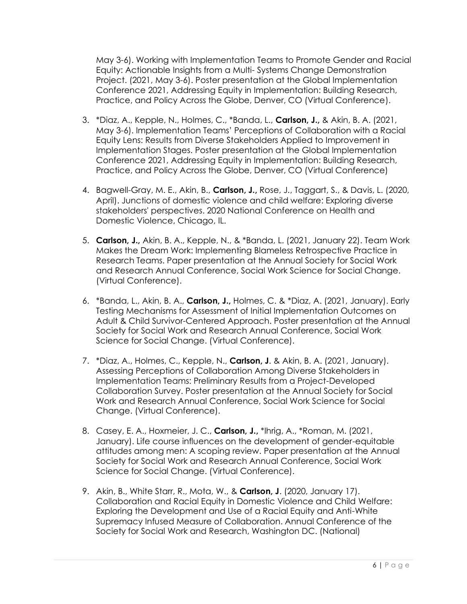May 3-6). Working with Implementation Teams to Promote Gender and Racial Equity: Actionable Insights from a Multi- Systems Change Demonstration Project. (2021, May 3-6). Poster presentation at the Global Implementation Conference 2021, Addressing Equity in Implementation: Building Research, Practice, and Policy Across the Globe, Denver, CO (Virtual Conference).

- 3. \*Diaz, A., Kepple, N., Holmes, C., \*Banda, L., **Carlson, J.,** & Akin, B. A. (2021, May 3-6). Implementation Teams' Perceptions of Collaboration with a Racial Equity Lens: Results from Diverse Stakeholders Applied to Improvement in Implementation Stages. Poster presentation at the Global Implementation Conference 2021, Addressing Equity in Implementation: Building Research, Practice, and Policy Across the Globe, Denver, CO (Virtual Conference)
- 4. Bagwell-Gray, M. E., Akin, B., **Carlson, J.,** Rose, J., Taggart, S., & Davis, L. (2020, April). Junctions of domestic violence and child welfare: Exploring diverse stakeholders' perspectives. 2020 National Conference on Health and Domestic Violence, Chicago, IL.
- 5. **Carlson, J.,** Akin, B. A., Kepple, N., & \*Banda, L. (2021, January 22). Team Work Makes the Dream Work: Implementing Blameless Retrospective Practice in Research Teams. Paper presentation at the Annual Society for Social Work and Research Annual Conference, Social Work Science for Social Change. (Virtual Conference).
- 6. \*Banda, L., Akin, B. A., **Carlson, J.,** Holmes, C. & \*Diaz, A. (2021, January). Early Testing Mechanisms for Assessment of Initial Implementation Outcomes on Adult & Child Survivor-Centered Approach. Poster presentation at the Annual Society for Social Work and Research Annual Conference, Social Work Science for Social Change. (Virtual Conference).
- 7. \*Diaz, A., Holmes, C., Kepple, N., **Carlson, J**. & Akin, B. A. (2021, January). Assessing Perceptions of Collaboration Among Diverse Stakeholders in Implementation Teams: Preliminary Results from a Project-Developed Collaboration Survey. Poster presentation at the Annual Society for Social Work and Research Annual Conference, Social Work Science for Social Change. (Virtual Conference).
- 8. Casey, E. A., Hoxmeier, J. C., **Carlson, J.,** \*Ihrig, A., \*Roman, M. (2021, January). Life course influences on the development of gender-equitable attitudes among men: A scoping review. Paper presentation at the Annual Society for Social Work and Research Annual Conference, Social Work Science for Social Change. (Virtual Conference).
- 9. Akin, B., White Starr, R., Mota, W., & **Carlson, J**. (2020, January 17). Collaboration and Racial Equity in Domestic Violence and Child Welfare: Exploring the Development and Use of a Racial Equity and Anti-White Supremacy Infused Measure of Collaboration. Annual Conference of the Society for Social Work and Research, Washington DC. (National)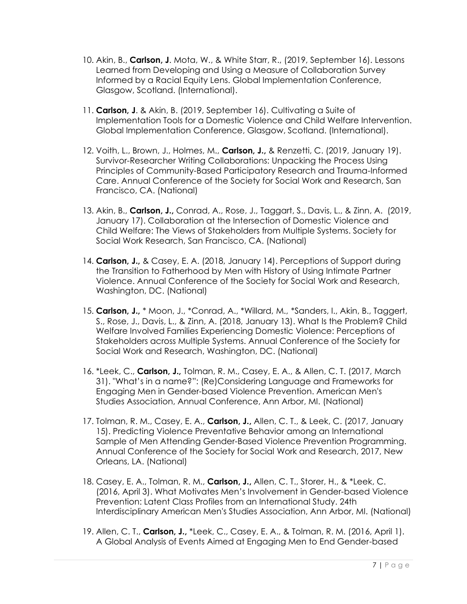- 10. Akin, B., **Carlson, J**. Mota, W., & White Starr, R., (2019, September 16). Lessons Learned from Developing and Using a Measure of Collaboration Survey Informed by a Racial Equity Lens. Global Implementation Conference, Glasgow, Scotland. (International).
- 11. **Carlson, J**. & Akin, B. (2019, September 16). Cultivating a Suite of Implementation Tools for a Domestic Violence and Child Welfare Intervention. Global Implementation Conference, Glasgow, Scotland. (International).
- 12. Voith, L., Brown, J., Holmes, M., **Carlson, J.,** & Renzetti, C. (2019, January 19). Survivor-Researcher Writing Collaborations: Unpacking the Process Using Principles of Community-Based Participatory Research and Trauma-Informed Care. Annual Conference of the Society for Social Work and Research, San Francisco, CA. (National)
- 13. Akin, B., **Carlson, J.,** Conrad, A., Rose, J., Taggart, S., Davis, L., & Zinn, A. (2019, January 17). Collaboration at the Intersection of Domestic Violence and Child Welfare: The Views of Stakeholders from Multiple Systems. Society for Social Work Research, San Francisco, CA. (National)
- 14. **Carlson, J.,** & Casey, E. A. (2018, January 14). Perceptions of Support during the Transition to Fatherhood by Men with History of Using Intimate Partner Violence. Annual Conference of the Society for Social Work and Research, Washington, DC. (National)
- 15. **Carlson, J.,** \* Moon, J., \*Conrad, A., \*Willard, M., \*Sanders, I., Akin, B., Taggert, S., Rose, J., Davis, L., & Zinn, A. (2018, January 13). What Is the Problem? Child Welfare Involved Families Experiencing Domestic Violence: Perceptions of Stakeholders across Multiple Systems. Annual Conference of the Society for Social Work and Research, Washington, DC. (National)
- 16. \*Leek, C., **Carlson, J.,** Tolman, R. M., Casey, E. A., & Allen, C. T. (2017, March 31). "What's in a name?": (Re)Considering Language and Frameworks for Engaging Men in Gender-based Violence Prevention. American Men's Studies Association, Annual Conference, Ann Arbor, MI. (National)
- 17. Tolman, R. M., Casey, E. A., **Carlson, J.,** Allen, C. T., & Leek, C. (2017, January 15). Predicting Violence Preventative Behavior among an International Sample of Men Attending Gender-Based Violence Prevention Programming. Annual Conference of the Society for Social Work and Research, 2017, New Orleans, LA. (National)
- 18. Casey, E. A., Tolman, R. M., **Carlson, J.,** Allen, C. T., Storer, H., & \*Leek, C. (2016, April 3). What Motivates Men's Involvement in Gender-based Violence Prevention: Latent Class Profiles from an International Study. 24th Interdisciplinary American Men's Studies Association, Ann Arbor, MI. (National)
- 19. Allen, C. T., **Carlson, J.,** \*Leek, C., Casey, E. A., & Tolman, R. M. (2016, April 1). A Global Analysis of Events Aimed at Engaging Men to End Gender-based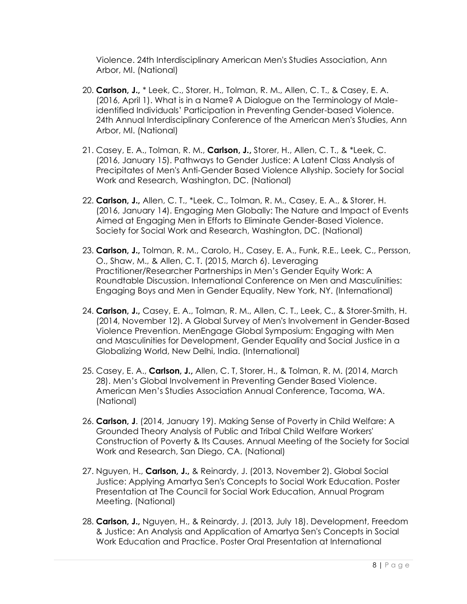Violence. 24th Interdisciplinary American Men's Studies Association, Ann Arbor, MI. (National)

- 20. **Carlson, J.,** \* Leek, C., Storer, H., Tolman, R. M., Allen, C. T., & Casey, E. A. (2016, April 1). What is in a Name? A Dialogue on the Terminology of Maleidentified Individuals' Participation in Preventing Gender-based Violence. 24th Annual Interdisciplinary Conference of the American Men's Studies, Ann Arbor, MI. (National)
- 21. Casey, E. A., Tolman, R. M., **Carlson, J.,** Storer, H., Allen, C. T., & \*Leek, C. (2016, January 15). Pathways to Gender Justice: A Latent Class Analysis of Precipitates of Men's Anti-Gender Based Violence Allyship. Society for Social Work and Research, Washington, DC. (National)
- 22. **Carlson, J.,** Allen, C. T., \*Leek, C., Tolman, R. M., Casey, E. A., & Storer, H. (2016, January 14). Engaging Men Globally: The Nature and Impact of Events Aimed at Engaging Men in Efforts to Eliminate Gender-Based Violence. Society for Social Work and Research, Washington, DC. (National)
- 23. **Carlson, J.,** Tolman, R. M., Carolo, H., Casey, E. A., Funk, R.E., Leek, C., Persson, O., Shaw, M., & Allen, C. T. (2015, March 6). Leveraging Practitioner/Researcher Partnerships in Men's Gender Equity Work: A Roundtable Discussion. International Conference on Men and Masculinities: Engaging Boys and Men in Gender Equality, New York, NY. (International)
- 24. **Carlson, J.,** Casey, E. A., Tolman, R. M., Allen, C. T., Leek, C., & Storer-Smith, H. (2014, November 12). A Global Survey of Men's Involvement in Gender-Based Violence Prevention. MenEngage Global Symposium: Engaging with Men and Masculinities for Development, Gender Equality and Social Justice in a Globalizing World, New Delhi, India. (International)
- 25. Casey, E. A., **Carlson, J.,** Allen, C. T, Storer, H., & Tolman, R. M. (2014, March 28). Men's Global Involvement in Preventing Gender Based Violence. American Men's Studies Association Annual Conference, Tacoma, WA. (National)
- 26. **Carlson, J**. (2014, January 19). Making Sense of Poverty in Child Welfare: A Grounded Theory Analysis of Public and Tribal Child Welfare Workers' Construction of Poverty & Its Causes. Annual Meeting of the Society for Social Work and Research, San Diego, CA. (National)
- 27. Nguyen, H., **Carlson, J.,** & Reinardy, J. (2013, November 2). Global Social Justice: Applying Amartya Sen's Concepts to Social Work Education. Poster Presentation at The Council for Social Work Education, Annual Program Meeting. (National)
- 28. **Carlson, J.,** Nguyen, H., & Reinardy, J. (2013, July 18). Development, Freedom & Justice: An Analysis and Application of Amartya Sen's Concepts in Social Work Education and Practice. Poster Oral Presentation at International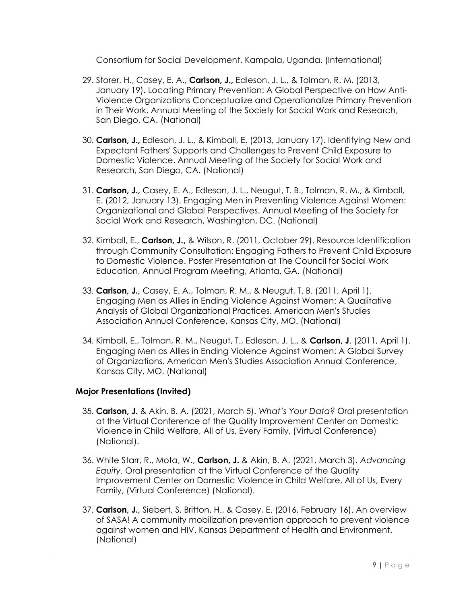Consortium for Social Development, Kampala, Uganda. (International)

- 29. Storer, H., Casey, E. A., **Carlson, J.,** Edleson, J. L., & Tolman, R. M. (2013, January 19). Locating Primary Prevention: A Global Perspective on How Anti-Violence Organizations Conceptualize and Operationalize Primary Prevention in Their Work. Annual Meeting of the Society for Social Work and Research, San Diego, CA. (National)
- 30. **Carlson, J.,** Edleson, J. L., & Kimball, E. (2013, January 17). Identifying New and Expectant Fathers' Supports and Challenges to Prevent Child Exposure to Domestic Violence. Annual Meeting of the Society for Social Work and Research, San Diego, CA. (National)
- 31. **Carlson, J.,** Casey, E. A., Edleson, J. L., Neugut, T. B., Tolman, R. M., & Kimball, E. (2012, January 13). Engaging Men in Preventing Violence Against Women: Organizational and Global Perspectives. Annual Meeting of the Society for Social Work and Research, Washington, DC. (National)
- 32. Kimball, E., **Carlson, J.,** & Wilson, R. (2011, October 29). Resource Identification through Community Consultation: Engaging Fathers to Prevent Child Exposure to Domestic Violence. Poster Presentation at The Council for Social Work Education, Annual Program Meeting, Atlanta, GA. (National)
- 33. **Carlson, J.,** Casey, E. A., Tolman, R. M., & Neugut, T. B. (2011, April 1). Engaging Men as Allies in Ending Violence Against Women: A Qualitative Analysis of Global Organizational Practices. American Men's Studies Association Annual Conference, Kansas City, MO. (National)
- 34. Kimball, E., Tolman, R. M., Neugut, T., Edleson, J. L., & **Carlson, J**. (2011, April 1). Engaging Men as Allies in Ending Violence Against Women: A Global Survey of Organizations. American Men's Studies Association Annual Conference, Kansas City, MO. (National)

# **Major Presentations (Invited)**

- 35. **Carlson, J.** & Akin, B. A. (2021, March 5). *What's Your Data?* Oral presentation at the Virtual Conference of the Quality Improvement Center on Domestic Violence in Child Welfare, All of Us, Every Family, (Virtual Conference) (National).
- 36. White Starr, R., Mota, W., **Carlson, J.** & Akin, B. A. (2021, March 3). *Advancing Equity.* Oral presentation at the Virtual Conference of the Quality Improvement Center on Domestic Violence in Child Welfare, All of Us, Every Family, (Virtual Conference) (National).
- 37. **Carlson, J.,** Siebert, S, Britton, H., & Casey, E. (2016, February 16). An overview of SASA! A community mobilization prevention approach to prevent violence against women and HIV. Kansas Department of Health and Environment. (National)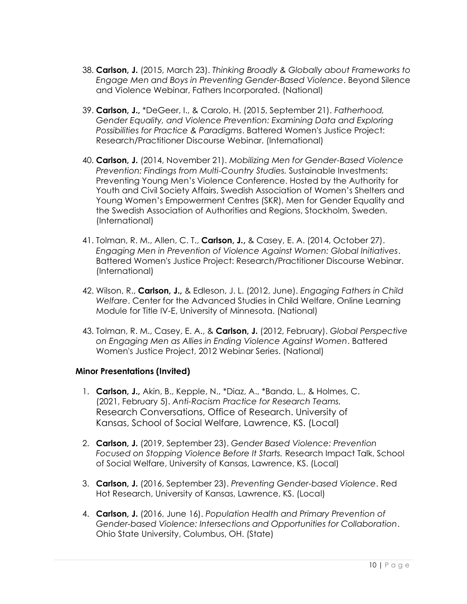- 38. **Carlson, J.** (2015, March 23). *Thinking Broadly & Globally about Frameworks to Engage Men and Boys in Preventing Gender-Based Violence*. Beyond Silence and Violence Webinar, Fathers Incorporated. (National)
- 39. **Carlson, J.,** \*DeGeer, I., & Carolo, H. (2015, September 21). *Fatherhood, Gender Equality, and Violence Prevention: Examining Data and Exploring Possibilities for Practice & Paradigms*. Battered Women's Justice Project: Research/Practitioner Discourse Webinar. (International)
- 40. **Carlson, J.** (2014, November 21). *Mobilizing Men for Gender-Based Violence Prevention: Findings from Multi-Country Studies.* Sustainable Investments: Preventing Young Men's Violence Conference. Hosted by the Authority for Youth and Civil Society Affairs, Swedish Association of Women's Shelters and Young Women's Empowerment Centres (SKR), Men for Gender Equality and the Swedish Association of Authorities and Regions, Stockholm, Sweden. (International)
- 41. Tolman, R. M., Allen, C. T., **Carlson, J.,** & Casey, E. A. (2014, October 27). *Engaging Men in Prevention of Violence Against Women: Global Initiatives*. Battered Women's Justice Project: Research/Practitioner Discourse Webinar. (International)
- 42. Wilson, R., **Carlson, J.,** & Edleson, J. L. (2012, June). *Engaging Fathers in Child Welfare*. Center for the Advanced Studies in Child Welfare, Online Learning Module for Title IV-E, University of Minnesota. (National)
- 43. Tolman, R. M., Casey, E. A., & **Carlson, J.** (2012, February). *Global Perspective on Engaging Men as Allies in Ending Violence Against Women*. Battered Women's Justice Project, 2012 Webinar Series. (National)

# **Minor Presentations (Invited)**

- 1. **Carlson, J.,** Akin, B., Kepple, N., \*Diaz, A., \*Banda, L., & Holmes, C. (2021, February 5). *Anti-Racism Practice for Research Teams.* Research Conversations, Office of Research. University of Kansas, School of Social Welfare, Lawrence, KS. (Local)
- 2. **Carlson, J.** (2019, September 23). *Gender Based Violence: Prevention Focused on Stopping Violence Before It Starts.* Research Impact Talk, School of Social Welfare, University of Kansas, Lawrence, KS. (Local)
- 3. **Carlson, J.** (2016, September 23). *Preventing Gender-based Violence*. Red Hot Research, University of Kansas, Lawrence, KS. (Local)
- 4. **Carlson, J.** (2016, June 16). *Population Health and Primary Prevention of Gender-based Violence: Intersections and Opportunities for Collaboration*. Ohio State University, Columbus, OH. (State)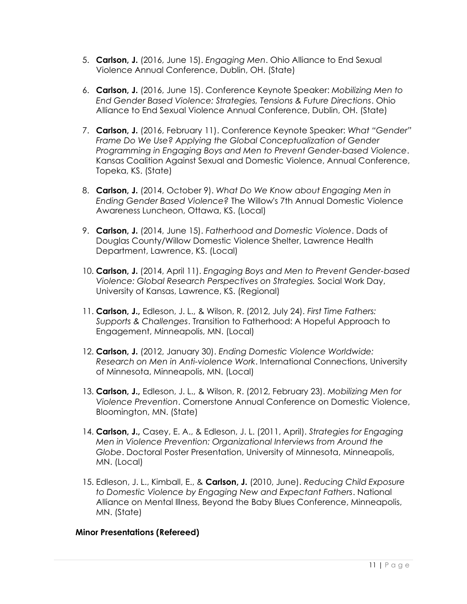- 5. **Carlson, J.** (2016, June 15). *Engaging Men*. Ohio Alliance to End Sexual Violence Annual Conference, Dublin, OH. (State)
- 6. **Carlson, J.** (2016, June 15). Conference Keynote Speaker: *Mobilizing Men to End Gender Based Violence: Strategies, Tensions & Future Directions*. Ohio Alliance to End Sexual Violence Annual Conference, Dublin, OH. (State)
- 7. **Carlson, J.** (2016, February 11). Conference Keynote Speaker: *What "Gender" Frame Do We Use? Applying the Global Conceptualization of Gender Programming in Engaging Boys and Men to Prevent Gender-based Violence*. Kansas Coalition Against Sexual and Domestic Violence, Annual Conference, Topeka, KS. (State)
- 8. **Carlson, J.** (2014, October 9). *What Do We Know about Engaging Men in Ending Gender Based Violence?* The Willow's 7th Annual Domestic Violence Awareness Luncheon, Ottawa, KS. (Local)
- 9. **Carlson, J.** (2014, June 15). *Fatherhood and Domestic Violence*. Dads of Douglas County/Willow Domestic Violence Shelter, Lawrence Health Department, Lawrence, KS. (Local)
- 10. **Carlson, J.** (2014, April 11). *Engaging Boys and Men to Prevent Gender-based Violence: Global Research Perspectives on Strategies.* Social Work Day, University of Kansas, Lawrence, KS. (Regional)
- 11. **Carlson, J.,** Edleson, J. L., & Wilson, R. (2012, July 24). *First Time Fathers: Supports & Challenges*. Transition to Fatherhood: A Hopeful Approach to Engagement, Minneapolis, MN. (Local)
- 12. **Carlson, J.** (2012, January 30). *Ending Domestic Violence Worldwide: Research on Men in Anti-violence Work*. International Connections, University of Minnesota, Minneapolis, MN. (Local)
- 13. **Carlson, J.,** Edleson, J. L., & Wilson, R. (2012, February 23). *Mobilizing Men for Violence Prevention*. Cornerstone Annual Conference on Domestic Violence, Bloomington, MN. (State)
- 14. **Carlson, J.,** Casey, E. A., & Edleson, J. L. (2011, April). *Strategies for Engaging Men in Violence Prevention: Organizational Interviews from Around the Globe*. Doctoral Poster Presentation, University of Minnesota, Minneapolis, MN. (Local)
- 15. Edleson, J. L., Kimball, E., & **Carlson, J.** (2010, June). *Reducing Child Exposure to Domestic Violence by Engaging New and Expectant Fathers*. National Alliance on Mental Illness, Beyond the Baby Blues Conference, Minneapolis, MN. (State)

# **Minor Presentations (Refereed)**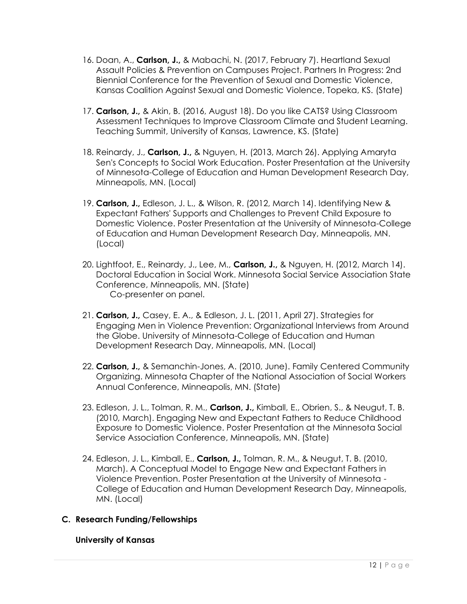- 16. Doan, A., **Carlson, J.,** & Mabachi, N. (2017, February 7). Heartland Sexual Assault Policies & Prevention on Campuses Project. Partners In Progress: 2nd Biennial Conference for the Prevention of Sexual and Domestic Violence, Kansas Coalition Against Sexual and Domestic Violence, Topeka, KS. (State)
- 17. **Carlson, J.,** & Akin, B. (2016, August 18). Do you like CATS? Using Classroom Assessment Techniques to Improve Classroom Climate and Student Learning. Teaching Summit, University of Kansas, Lawrence, KS. (State)
- 18. Reinardy, J., **Carlson, J.,** & Nguyen, H. (2013, March 26). Applying Amaryta Sen's Concepts to Social Work Education. Poster Presentation at the University of Minnesota-College of Education and Human Development Research Day, Minneapolis, MN. (Local)
- 19. **Carlson, J.,** Edleson, J. L., & Wilson, R. (2012, March 14). Identifying New & Expectant Fathers' Supports and Challenges to Prevent Child Exposure to Domestic Violence. Poster Presentation at the University of Minnesota-College of Education and Human Development Research Day, Minneapolis, MN. (Local)
- 20. Lightfoot, E., Reinardy, J., Lee, M., **Carlson, J.,** & Nguyen, H. (2012, March 14). Doctoral Education in Social Work. Minnesota Social Service Association State Conference, Minneapolis, MN. (State) Co-presenter on panel.
- 21. **Carlson, J.,** Casey, E. A., & Edleson, J. L. (2011, April 27). Strategies for Engaging Men in Violence Prevention: Organizational Interviews from Around the Globe. University of Minnesota-College of Education and Human Development Research Day, Minneapolis, MN. (Local)
- 22. **Carlson, J.,** & Semanchin-Jones, A. (2010, June). Family Centered Community Organizing. Minnesota Chapter of the National Association of Social Workers Annual Conference, Minneapolis, MN. (State)
- 23. Edleson, J. L., Tolman, R. M., **Carlson, J.,** Kimball, E., Obrien, S., & Neugut, T. B. (2010, March). Engaging New and Expectant Fathers to Reduce Childhood Exposure to Domestic Violence. Poster Presentation at the Minnesota Social Service Association Conference, Minneapolis, MN. (State)
- 24. Edleson, J. L., Kimball, E., **Carlson, J.,** Tolman, R. M., & Neugut, T. B. (2010, March). A Conceptual Model to Engage New and Expectant Fathers in Violence Prevention. Poster Presentation at the University of Minnesota - College of Education and Human Development Research Day, Minneapolis, MN. (Local)

# **C. Research Funding/Fellowships**

# **University of Kansas**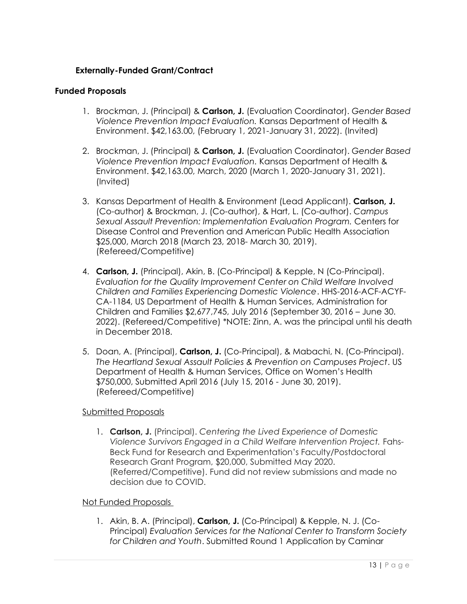# **Externally-Funded Grant/Contract**

# **Funded Proposals**

- 1. Brockman, J. (Principal) & **Carlson, J.** (Evaluation Coordinator). *Gender Based Violence Prevention Impact Evaluation.* Kansas Department of Health & Environment. \$42,163.00, (February 1, 2021-January 31, 2022). (Invited)
- 2. Brockman, J. (Principal) & **Carlson, J.** (Evaluation Coordinator). *Gender Based Violence Prevention Impact Evaluation.* Kansas Department of Health & Environment. \$42,163.00, March, 2020 (March 1, 2020-January 31, 2021). (Invited)
- 3. Kansas Department of Health & Environment (Lead Applicant). **Carlson, J.** (Co-author) & Brockman, J. (Co-author), & Hart, L. (Co-author). *Campus Sexual Assault Prevention: Implementation Evaluation Program.* Centers for Disease Control and Prevention and American Public Health Association \$25,000, March 2018 (March 23, 2018- March 30, 2019). (Refereed/Competitive)
- 4. **Carlson, J.** (Principal), Akin, B. (Co-Principal) & Kepple, N (Co-Principal). *Evaluation for the Quality Improvement Center on Child Welfare Involved Children and Families Experiencing Domestic Violence*. HHS-2016-ACF-ACYF-CA-1184, US Department of Health & Human Services, Administration for Children and Families \$2,677,745, July 2016 (September 30, 2016 – June 30. 2022). (Refereed/Competitive) \*NOTE: Zinn, A. was the principal until his death in December 2018.
- 5. Doan, A. (Principal), **Carlson, J.** (Co-Principal), & Mabachi, N. (Co-Principal). *The Heartland Sexual Assault Policies & Prevention on Campuses Project*. US Department of Health & Human Services, Office on Women's Health \$750,000, Submitted April 2016 (July 15, 2016 - June 30, 2019). (Refereed/Competitive)

# Submitted Proposals

1. **Carlson, J.** (Principal). *Centering the Lived Experience of Domestic Violence Survivors Engaged in a Child Welfare Intervention Project.* Fahs-Beck Fund for Research and Experimentation's Faculty/Postdoctoral Research Grant Program, \$20,000, Submitted May 2020. (Referred/Competitive). Fund did not review submissions and made no decision due to COVID.

# Not Funded Proposals

1. Akin, B. A. (Principal), **Carlson, J.** (Co-Principal) & Kepple, N. J. (Co-Principal) *Evaluation Services for the National Center to Transform Society for Children and Youth*. Submitted Round 1 Application by Caminar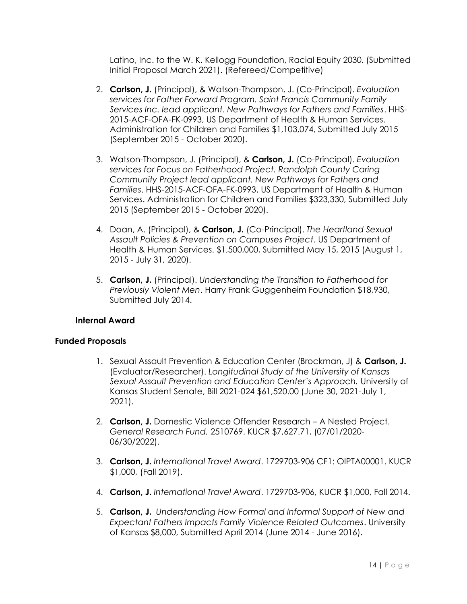Latino, Inc. to the W. K. Kellogg Foundation, Racial Equity 2030. (Submitted Initial Proposal March 2021). (Refereed/Competitive)

- 2. **Carlson, J.** (Principal), & Watson-Thompson, J. (Co-Principal). *Evaluation services for Father Forward Program. Saint Francis Community Family Services Inc. lead applicant. New Pathways for Fathers and Families*. HHS-2015-ACF-OFA-FK-0993, US Department of Health & Human Services. Administration for Children and Families \$1,103,074, Submitted July 2015 (September 2015 - October 2020).
- 3. Watson-Thompson, J. (Principal), & **Carlson, J.** (Co-Principal). *Evaluation services for Focus on Fatherhood Project. Randolph County Caring Community Project lead applicant. New Pathways for Fathers and Families*. HHS-2015-ACF-OFA-FK-0993, US Department of Health & Human Services. Administration for Children and Families \$323,330, Submitted July 2015 (September 2015 - October 2020).
- 4. Doan, A. (Principal), & **Carlson, J.** (Co-Principal). *The Heartland Sexual Assault Policies & Prevention on Campuses Project*. US Department of Health & Human Services. \$1,500,000, Submitted May 15, 2015 (August 1, 2015 - July 31, 2020).
- 5. **Carlson, J.** (Principal). *Understanding the Transition to Fatherhood for Previously Violent Men*. Harry Frank Guggenheim Foundation \$18,930, Submitted July 2014.

# **Internal Award**

# **Funded Proposals**

- 1. Sexual Assault Prevention & Education Center (Brockman, J) & **Carlson, J.** (Evaluator/Researcher). *Longitudinal Study of the University of Kansas Sexual Assault Prevention and Education Center's Approach.* University of Kansas Student Senate, Bill 2021-024 \$61,520.00 (June 30, 2021-July 1, 2021).
- 2. **Carlson, J.** Domestic Violence Offender Research A Nested Project. *General Research Fund.* 2510769. KUCR \$7,627.71, (07/01/2020- 06/30/2022).
- 3. **Carlson, J.** *International Travel Award*. 1729703‐906 CF1: OIPTA00001. KUCR \$1,000, (Fall 2019).
- 4. **Carlson, J.** *International Travel Award*. 1729703-906, KUCR \$1,000, Fall 2014.
- 5. **Carlson, J.** *Understanding How Formal and Informal Support of New and Expectant Fathers Impacts Family Violence Related Outcomes*. University of Kansas \$8,000, Submitted April 2014 (June 2014 - June 2016).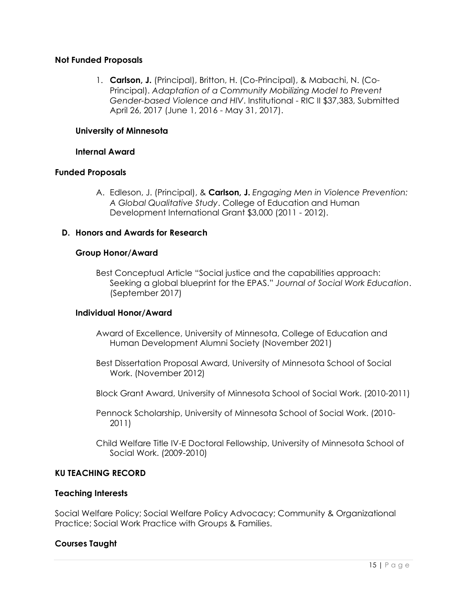# **Not Funded Proposals**

1. **Carlson, J.** (Principal), Britton, H. (Co-Principal), & Mabachi, N. (Co-Principal). *Adaptation of a Community Mobilizing Model to Prevent Gender-based Violence and HIV*. Institutional - RIC II \$37,383, Submitted April 26, 2017 (June 1, 2016 - May 31, 2017).

### **University of Minnesota**

### **Internal Award**

### **Funded Proposals**

A. Edleson, J. (Principal), & **Carlson, J.** *Engaging Men in Violence Prevention: A Global Qualitative Study*. College of Education and Human Development International Grant \$3,000 (2011 - 2012).

### **D. Honors and Awards for Research**

### **Group Honor/Award**

Best Conceptual Article "Social justice and the capabilities approach: Seeking a global blueprint for the EPAS." *Journal of Social Work Education*. (September 2017)

### **Individual Honor/Award**

- Award of Excellence, University of Minnesota, College of Education and Human Development Alumni Society (November 2021)
- Best Dissertation Proposal Award, University of Minnesota School of Social Work. (November 2012)
- Block Grant Award, University of Minnesota School of Social Work. (2010-2011)
- Pennock Scholarship, University of Minnesota School of Social Work. (2010- 2011)
- Child Welfare Title IV-E Doctoral Fellowship, University of Minnesota School of Social Work. (2009-2010)

# **KU TEACHING RECORD**

### **Teaching Interests**

Social Welfare Policy; Social Welfare Policy Advocacy; Community & Organizational Practice; Social Work Practice with Groups & Families.

### **Courses Taught**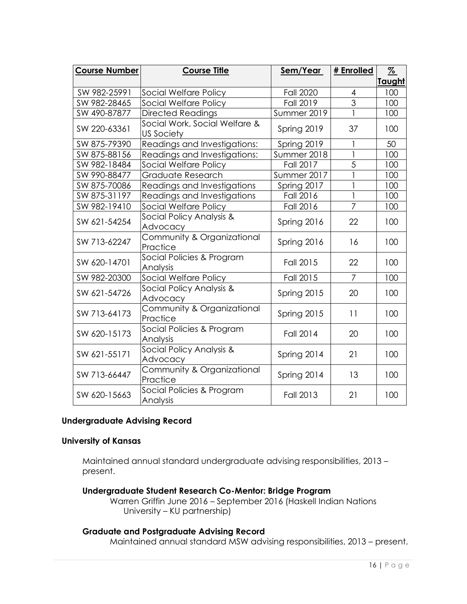| <b>Course Number</b> | <b>Course Title</b>                         | Sem/Year         | # Enrolled     | $\frac{9}{6}$ |
|----------------------|---------------------------------------------|------------------|----------------|---------------|
|                      |                                             |                  |                | <b>Taught</b> |
| SW 982-25991         | Social Welfare Policy                       | <b>Fall 2020</b> | $\overline{4}$ | 100           |
| SW 982-28465         | Social Welfare Policy                       | <b>Fall 2019</b> | 3              | 100           |
| SW 490-87877         | <b>Directed Readings</b>                    | Summer 2019      |                | 100           |
| SW 220-63361         | Social Work, Social Welfare &<br>US Society | Spring 2019      | 37             | 100           |
| SW 875-79390         | Readings and Investigations:                | Spring 2019      | 1              | 50            |
| SW 875-88156         | Readings and Investigations:                | Summer 2018      |                | 100           |
| SW 982-18484         | Social Welfare Policy                       | <b>Fall 2017</b> | 5              | 100           |
| SW 990-88477         | Graduate Research                           | Summer 2017      |                | 100           |
| SW 875-70086         | Readings and Investigations                 | Spring 2017      |                | 100           |
| SW 875-31197         | Readings and Investigations                 | Fall 2016        | $\mathbf{1}$   | 100           |
| SW 982-19410         | Social Welfare Policy                       | Fall 2016        | 7              | 100           |
| SW 621-54254         | Social Policy Analysis &<br>Advocacy        | Spring 2016      | 22             | 100           |
| SW 713-62247         | Community & Organizational<br>Practice      | Spring 2016      | 16             | 100           |
| SW 620-14701         | Social Policies & Program<br>Analysis       | Fall 2015        | 22             | 100           |
| SW 982-20300         | Social Welfare Policy                       | Fall 2015        | $\overline{7}$ | 100           |
| SW 621-54726         | Social Policy Analysis &<br>Advocacy        | Spring 2015      | 20             | 100           |
| SW 713-64173         | Community & Organizational<br>Practice      | Spring 2015      | 11             | 100           |
| SW 620-15173         | Social Policies & Program<br>Analysis       | <b>Fall 2014</b> | 20             | 100           |
| SW 621-55171         | Social Policy Analysis &<br>Advocacy        | Spring 2014      | 21             | 100           |
| SW 713-66447         | Community & Organizational<br>Practice      | Spring 2014      | 13             | 100           |
| SW 620-15663         | Social Policies & Program<br>Analysis       | <b>Fall 2013</b> | 21             | 100           |

# **Undergraduate Advising Record**

### **University of Kansas**

Maintained annual standard undergraduate advising responsibilities, 2013 – present.

**Undergraduate Student Research Co-Mentor: Bridge Program**

Warren Griffin June 2016 – September 2016 (Haskell Indian Nations University – KU partnership)

# **Graduate and Postgraduate Advising Record**

Maintained annual standard MSW advising responsibilities, 2013 – present.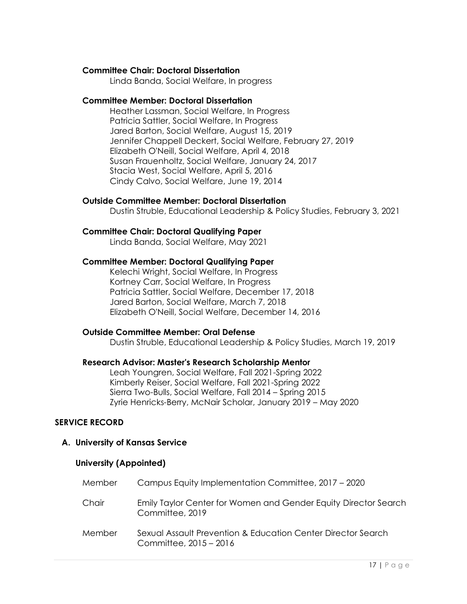### **Committee Chair: Doctoral Dissertation**

Linda Banda, Social Welfare, In progress

### **Committee Member: Doctoral Dissertation**

Heather Lassman, Social Welfare, In Progress Patricia Sattler, Social Welfare, In Progress Jared Barton, Social Welfare, August 15, 2019 Jennifer Chappell Deckert, Social Welfare, February 27, 2019 Elizabeth O'Neill, Social Welfare, April 4, 2018 Susan Frauenholtz, Social Welfare, January 24, 2017 Stacia West, Social Welfare, April 5, 2016 Cindy Calvo, Social Welfare, June 19, 2014

# **Outside Committee Member: Doctoral Dissertation**

Dustin Struble, Educational Leadership & Policy Studies, February 3, 2021

### **Committee Chair: Doctoral Qualifying Paper**

Linda Banda, Social Welfare, May 2021

### **Committee Member: Doctoral Qualifying Paper**

Kelechi Wright, Social Welfare, In Progress Kortney Carr, Social Welfare, In Progress Patricia Sattler, Social Welfare, December 17, 2018 Jared Barton, Social Welfare, March 7, 2018 Elizabeth O'Neill, Social Welfare, December 14, 2016

### **Outside Committee Member: Oral Defense**

Dustin Struble, Educational Leadership & Policy Studies, March 19, 2019

### **Research Advisor: Master's Research Scholarship Mentor**

Leah Youngren, Social Welfare, Fall 2021-Spring 2022 Kimberly Reiser, Social Welfare, Fall 2021-Spring 2022 Sierra Two-Bulls, Social Welfare, Fall 2014 – Spring 2015 Zyrie Henricks-Berry, McNair Scholar, January 2019 – May 2020

### **SERVICE RECORD**

### **A. University of Kansas Service**

### **University (Appointed)**

| Member | Campus Equity Implementation Committee, 2017 – 2020                                    |
|--------|----------------------------------------------------------------------------------------|
| Chair  | Emily Taylor Center for Women and Gender Equity Director Search<br>Committee, 2019     |
| Member | Sexual Assault Prevention & Education Center Director Search<br>Committee, 2015 - 2016 |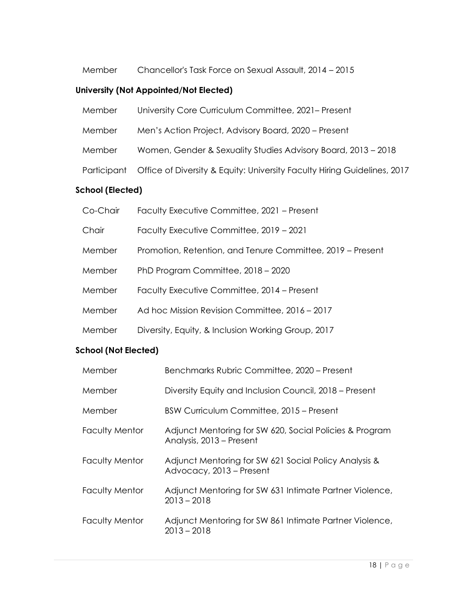Member Chancellor's Task Force on Sexual Assault, 2014 – 2015

# **University (Not Appointed/Not Elected)**

| Member | University Core Curriculum Committee, 2021– Present                                   |
|--------|---------------------------------------------------------------------------------------|
| Member | Men's Action Project, Advisory Board, 2020 – Present                                  |
| Member | Women, Gender & Sexuality Studies Advisory Board, 2013 - 2018                         |
|        | Participant  Office of Diversity & Equity: University Faculty Hiring Guidelines, 2017 |
|        |                                                                                       |

# **School (Elected)**

| Co-Chair | Faculty Executive Committee, 2021 – Present                |
|----------|------------------------------------------------------------|
| Chair    | Faculty Executive Committee, 2019 - 2021                   |
| Member   | Promotion, Retention, and Tenure Committee, 2019 – Present |
| Member   | PhD Program Committee, 2018 - 2020                         |
| Member   | Faculty Executive Committee, 2014 – Present                |
| Member   | Ad hoc Mission Revision Committee, 2016 - 2017             |
| Member   | Diversity, Equity, & Inclusion Working Group, 2017         |

# **School (Not Elected)**

| Member                | Benchmarks Rubric Committee, 2020 - Present                                         |
|-----------------------|-------------------------------------------------------------------------------------|
| Member                | Diversity Equity and Inclusion Council, 2018 – Present                              |
| Member                | BSW Curriculum Committee, 2015 – Present                                            |
| <b>Faculty Mentor</b> | Adjunct Mentoring for SW 620, Social Policies & Program<br>Analysis, 2013 – Present |
| <b>Faculty Mentor</b> | Adjunct Mentoring for SW 621 Social Policy Analysis &<br>Advocacy, 2013 – Present   |
| <b>Faculty Mentor</b> | Adjunct Mentoring for SW 631 Intimate Partner Violence,<br>$2013 - 2018$            |
| <b>Faculty Mentor</b> | Adjunct Mentoring for SW 861 Intimate Partner Violence,<br>$2013 - 2018$            |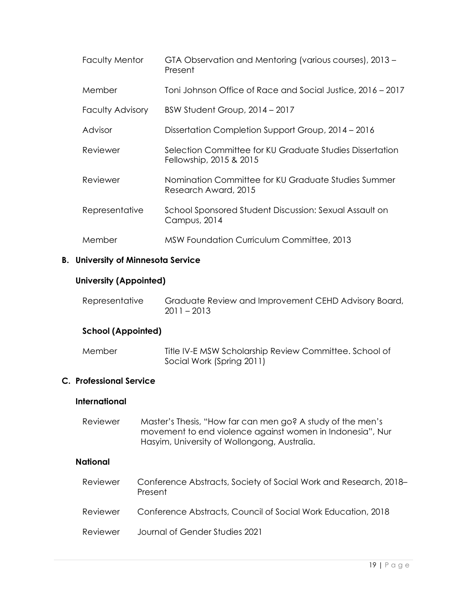| Faculty Mentor          | GTA Observation and Mentoring (various courses), 2013 -<br>Present                  |
|-------------------------|-------------------------------------------------------------------------------------|
| Member                  | Toni Johnson Office of Race and Social Justice, 2016 – 2017                         |
| <b>Faculty Advisory</b> | BSW Student Group, 2014 - 2017                                                      |
| Advisor                 | Dissertation Completion Support Group, 2014 - 2016                                  |
| Reviewer                | Selection Committee for KU Graduate Studies Dissertation<br>Fellowship, 2015 & 2015 |
| Reviewer                | Nomination Committee for KU Graduate Studies Summer<br>Research Award, 2015         |
| Representative          | School Sponsored Student Discussion: Sexual Assault on<br>Campus, 2014              |
| Member                  | MSW Foundation Curriculum Committee, 2013                                           |

# **B. University of Minnesota Service**

# **University (Appointed)**

| Representative | Graduate Review and Improvement CEHD Advisory Board, |
|----------------|------------------------------------------------------|
|                | $2011 - 2013$                                        |

# **School (Appointed)**

| Member | Title IV-E MSW Scholarship Review Committee. School of |
|--------|--------------------------------------------------------|
|        | Social Work (Spring 2011)                              |

# **C. Professional Service**

# **International**

| Reviewer | Master's Thesis, "How far can men go? A study of the men's |
|----------|------------------------------------------------------------|
|          | movement to end violence against women in Indonesia", Nur  |
|          | Hasyim, University of Wollongong, Australia.               |

# **National**

| Reviewer | Conference Abstracts, Society of Social Work and Research, 2018–<br>Present |
|----------|-----------------------------------------------------------------------------|
| Reviewer | Conference Abstracts, Council of Social Work Education, 2018                |
| Reviewer | Journal of Gender Studies 2021                                              |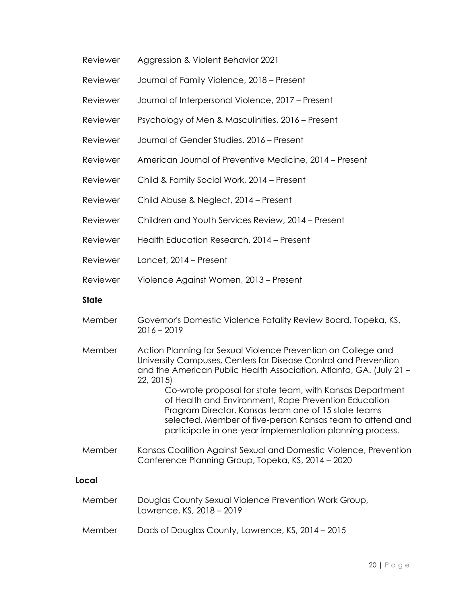| Reviewer | Aggression & Violent Behavior 2021 |
|----------|------------------------------------|
|          |                                    |

- Reviewer Journal of Family Violence, 2018 Present
- Reviewer Journal of Interpersonal Violence, 2017 Present
- Reviewer Psychology of Men & Masculinities, 2016 Present
- Reviewer Journal of Gender Studies, 2016 Present
- Reviewer American Journal of Preventive Medicine, 2014 Present
- Reviewer Child & Family Social Work, 2014 Present
- Reviewer Child Abuse & Neglect, 2014 Present
- Reviewer Children and Youth Services Review, 2014 Present
- Reviewer Health Education Research, 2014 Present
- Reviewer Lancet, 2014 Present
- Reviewer Violence Against Women, 2013 Present

### **State**

- Member Governor's Domestic Violence Fatality Review Board, Topeka, KS, 2016 – 2019
- Member Action Planning for Sexual Violence Prevention on College and University Campuses, Centers for Disease Control and Prevention and the American Public Health Association, Atlanta, GA. (July 21 – 22, 2015) Co-wrote proposal for state team, with Kansas Department of Health and Environment, Rape Prevention Education
	- Program Director. Kansas team one of 15 state teams selected. Member of five-person Kansas team to attend and participate in one-year implementation planning process.
- Member Kansas Coalition Against Sexual and Domestic Violence, Prevention Conference Planning Group, Topeka, KS, 2014 – 2020

# **Local**

| Member | Douglas County Sexual Violence Prevention Work Group,<br>Lawrence, KS, 2018 - 2019 |
|--------|------------------------------------------------------------------------------------|
| Member | Dads of Douglas County, Lawrence, KS, 2014 - 2015                                  |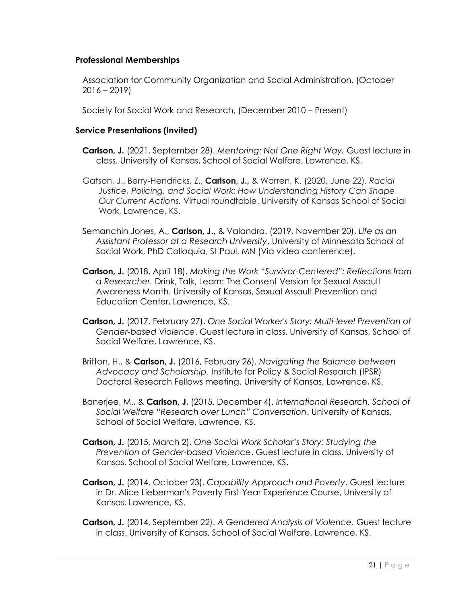# **Professional Memberships**

Association for Community Organization and Social Administration, (October 2016 – 2019)

Society for Social Work and Research, (December 2010 – Present)

# **Service Presentations (Invited)**

- **Carlson, J.** (2021, September 28). *Mentoring: Not One Right Way.* Guest lecture in class. University of Kansas, School of Social Welfare, Lawrence, KS.
- Gatson, J., Berry-Hendricks, Z., **Carlson, J.,** & Warren, K. (2020, June 22). *Racial Justice, Policing, and Social Work: How Understanding History Can Shape Our Current Actions.* Virtual roundtable. University of Kansas School of Social Work, Lawrence, KS.
- Semanchin Jones, A., **Carlson, J.,** & Valandra. (2019, November 20). *Life as an Assistant Professor at a Research University*. University of Minnesota School of Social Work, PhD Colloquia, St Paul, MN (Via video conference).
- **Carlson, J.** (2018, April 18). *Making the Work "Survivor-Centered": Reflections from a Researcher.* Drink, Talk, Learn: The Consent Version for Sexual Assault Awareness Month. University of Kansas, Sexual Assault Prevention and Education Center, Lawrence, KS.
- **Carlson, J.** (2017, February 27). *One Social Worker's Story: Multi-level Prevention of Gender-based Violence*. Guest lecture in class. University of Kansas, School of Social Welfare, Lawrence, KS.
- Britton, H., & **Carlson, J.** (2016, February 26). *Navigating the Balance between Advocacy and Scholarship.* Institute for Policy & Social Research (IPSR) Doctoral Research Fellows meeting. University of Kansas, Lawrence, KS.
- Banerjee, M., & **Carlson, J.** (2015, December 4). *International Research. School of Social Welfare "Research over Lunch" Conversation*. University of Kansas, School of Social Welfare, Lawrence, KS.
- **Carlson, J.** (2015, March 2). *One Social Work Scholar's Story: Studying the Prevention of Gender-based Violence*. Guest lecture in class. University of Kansas, School of Social Welfare, Lawrence, KS.
- **Carlson, J.** (2014, October 23). *Capability Approach and Poverty*. Guest lecture in Dr. Alice Lieberman's Poverty First-Year Experience Course, University of Kansas, Lawrence, KS.
- **Carlson, J.** (2014, September 22). *A Gendered Analysis of Violence.* Guest lecture in class. University of Kansas, School of Social Welfare, Lawrence, KS.